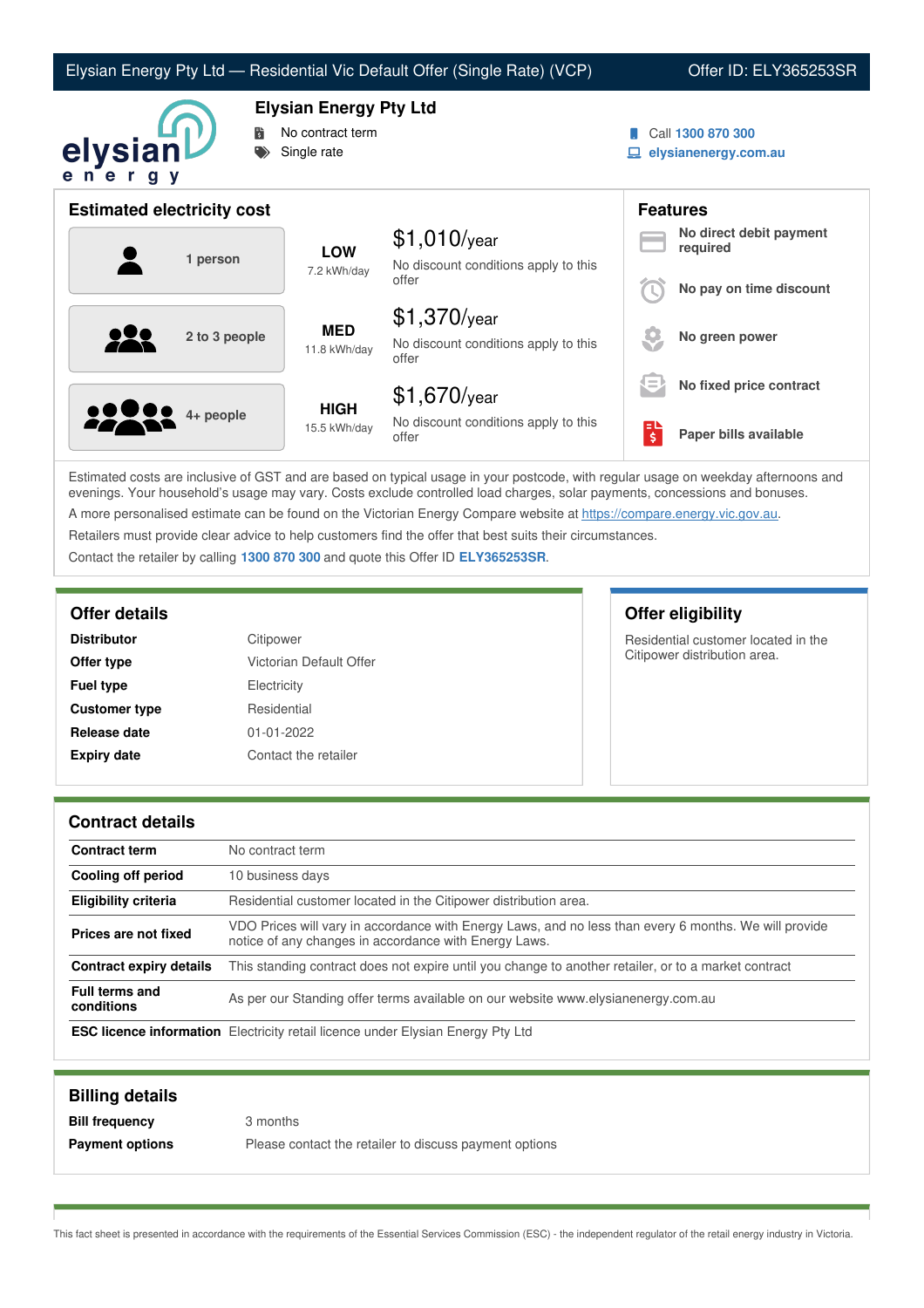# Elysian Energy Pty Ltd — Residential Vic Default Offer (Single Rate) (VCP) Offer ID: ELY365253SR



**Elysian Energy Pty Ltd**

- No contract term
- Single rate
- Call **1300 870 300**
- **elysianenergy.com.au**

| <b>Estimated electricity cost</b> |                             |                                                                 | <b>Features</b> |                                     |
|-----------------------------------|-----------------------------|-----------------------------------------------------------------|-----------------|-------------------------------------|
| 1 person                          | <b>LOW</b><br>7.2 kWh/day   | $$1,010$ /year<br>No discount conditions apply to this          |                 | No direct debit payment<br>required |
|                                   |                             | offer                                                           |                 | No pay on time discount             |
| 2 to 3 people                     | <b>MED</b><br>11.8 kWh/day  | $$1,370$ /year<br>No discount conditions apply to this<br>offer |                 | No green power                      |
|                                   |                             | $$1,670$ /year                                                  | l =             | No fixed price contract             |
| <b>2223</b> 4+ people             | <b>HIGH</b><br>15.5 kWh/day | No discount conditions apply to this<br>offer                   | း               | Paper bills available               |

Estimated costs are inclusive of GST and are based on typical usage in your postcode, with regular usage on weekday afternoons and evenings. Your household's usage may vary. Costs exclude controlled load charges, solar payments, concessions and bonuses. A more personalised estimate can be found on the Victorian Energy Compare website at <https://compare.energy.vic.gov.au>.

Retailers must provide clear advice to help customers find the offer that best suits their circumstances.

Contact the retailer by calling **1300 870 300** and quote this Offer ID **ELY365253SR**.

| <b>Distributor</b>   | Citipower               |
|----------------------|-------------------------|
| Offer type           | Victorian Default Offer |
| <b>Fuel type</b>     | Electricity             |
| <b>Customer type</b> | Residential             |
| Release date         | 01-01-2022              |
| <b>Expiry date</b>   | Contact the retailer    |

**Offer details Offer eligibility**

Residential customer located in the Citipower distribution area.

### **Contract details**

| <b>Contract term</b>                | No contract term                                                                                                                                               |
|-------------------------------------|----------------------------------------------------------------------------------------------------------------------------------------------------------------|
| Cooling off period                  | 10 business days                                                                                                                                               |
| <b>Eligibility criteria</b>         | Residential customer located in the Citipower distribution area.                                                                                               |
| Prices are not fixed                | VDO Prices will vary in accordance with Energy Laws, and no less than every 6 months. We will provide<br>notice of any changes in accordance with Energy Laws. |
| Contract expiry details             | This standing contract does not expire until you change to another retailer, or to a market contract                                                           |
| <b>Full terms and</b><br>conditions | As per our Standing offer terms available on our website www.elysianenergy.com.au                                                                              |
|                                     | <b>ESC licence information</b> Electricity retail licence under Elysian Energy Pty Ltd                                                                         |

| <b>Billing details</b> |                                                        |
|------------------------|--------------------------------------------------------|
| <b>Bill frequency</b>  | 3 months                                               |
| <b>Payment options</b> | Please contact the retailer to discuss payment options |